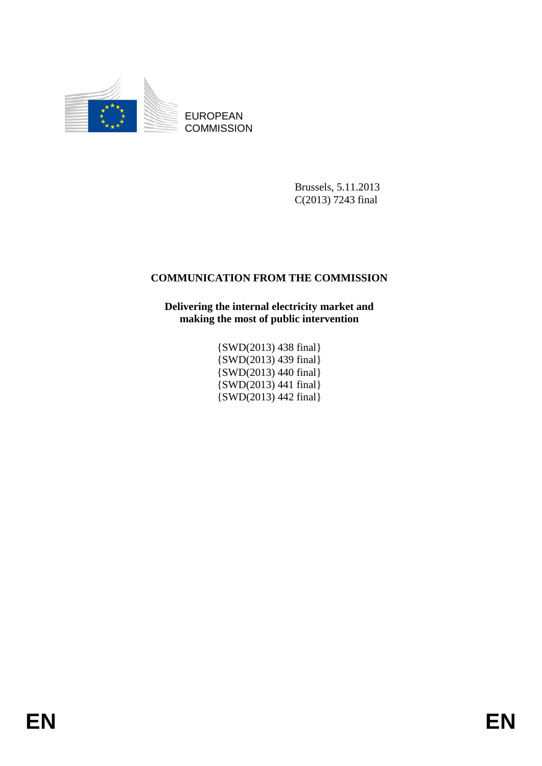

EUROPEAN **COMMISSION** 

> Brussels, 5.11.2013 C(2013) 7243 final

# **COMMUNICATION FROM THE COMMISSION**

**Delivering the internal electricity market and making the most of public intervention** 

> {SWD(2013) 438 final} {SWD(2013) 439 final} {SWD(2013) 440 final} {SWD(2013) 441 final} {SWD(2013) 442 final}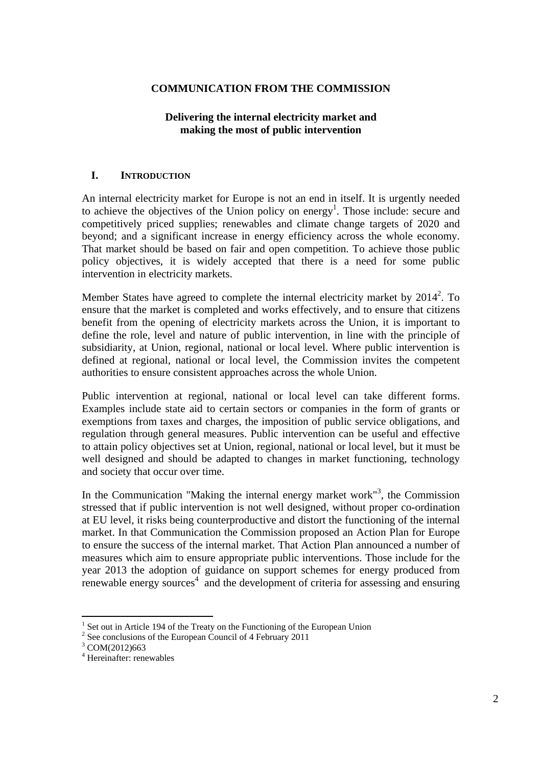### **COMMUNICATION FROM THE COMMISSION**

## **Delivering the internal electricity market and making the most of public intervention**

### **I. INTRODUCTION**

An internal electricity market for Europe is not an end in itself. It is urgently needed to achieve the objectives of the Union policy on energy<sup>1</sup>. Those include: secure and competitively priced supplies; renewables and climate change targets of 2020 and beyond; and a significant increase in energy efficiency across the whole economy. That market should be based on fair and open competition. To achieve those public policy objectives, it is widely accepted that there is a need for some public intervention in electricity markets.

Member States have agreed to complete the internal electricity market by  $2014^2$ . To ensure that the market is completed and works effectively, and to ensure that citizens benefit from the opening of electricity markets across the Union, it is important to define the role, level and nature of public intervention, in line with the principle of subsidiarity, at Union, regional, national or local level. Where public intervention is defined at regional, national or local level, the Commission invites the competent authorities to ensure consistent approaches across the whole Union.

Public intervention at regional, national or local level can take different forms. Examples include state aid to certain sectors or companies in the form of grants or exemptions from taxes and charges, the imposition of public service obligations, and regulation through general measures. Public intervention can be useful and effective to attain policy objectives set at Union, regional, national or local level, but it must be well designed and should be adapted to changes in market functioning, technology and society that occur over time.

In the Communication "Making the internal energy market work"<sup>3</sup>, the Commission stressed that if public intervention is not well designed, without proper co-ordination at EU level, it risks being counterproductive and distort the functioning of the internal market. In that Communication the Commission proposed an Action Plan for Europe to ensure the success of the internal market. That Action Plan announced a number of measures which aim to ensure appropriate public interventions. Those include for the year 2013 the adoption of guidance on support schemes for energy produced from  $r_{\text{enewable energy}}$  sources<sup>4</sup> and the development of criteria for assessing and ensuring

<u>.</u>

<sup>&</sup>lt;sup>1</sup> Set out in Article 194 of the Treaty on the Functioning of the European Union  $2^{2}$  See conclusions of the European Council of 4 Eebruary 2011

 $2^{2}$  See conclusions of the European Council of 4 February 2011

<sup>&</sup>lt;sup>3</sup> COM(2012)663

<sup>4</sup> Hereinafter: renewables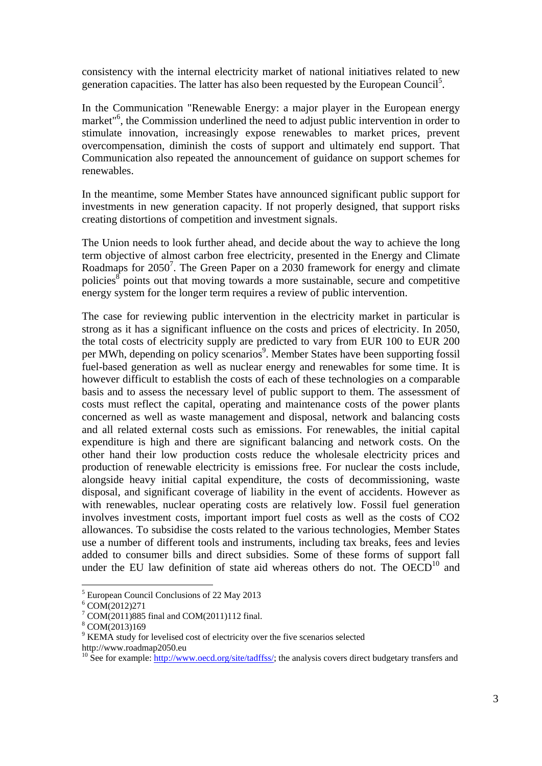consistency with the internal electricity market of national initiatives related to new generation capacities. The latter has also been requested by the European Council<sup>5</sup>.

In the Communication "Renewable Energy: a major player in the European energy market<sup>"6</sup>, the Commission underlined the need to adjust public intervention in order to stimulate innovation, increasingly expose renewables to market prices, prevent overcompensation, diminish the costs of support and ultimately end support. That Communication also repeated the announcement of guidance on support schemes for renewables.

In the meantime, some Member States have announced significant public support for investments in new generation capacity. If not properly designed, that support risks creating distortions of competition and investment signals.

The Union needs to look further ahead, and decide about the way to achieve the long term objective of almost carbon free electricity, presented in the Energy and Climate Roadmaps for  $2050^7$ . The Green Paper on a  $2030$  framework for energy and climate policies $\mathscr{S}$  points out that moving towards a more sustainable, secure and competitive energy system for the longer term requires a review of public intervention.

The case for reviewing public intervention in the electricity market in particular is strong as it has a significant influence on the costs and prices of electricity. In 2050, the total costs of electricity supply are predicted to vary from EUR 100 to EUR 200 per MWh, depending on policy scenarios<sup>9</sup>. Member States have been supporting fossil fuel-based generation as well as nuclear energy and renewables for some time. It is however difficult to establish the costs of each of these technologies on a comparable basis and to assess the necessary level of public support to them. The assessment of costs must reflect the capital, operating and maintenance costs of the power plants concerned as well as waste management and disposal, network and balancing costs and all related external costs such as emissions. For renewables, the initial capital expenditure is high and there are significant balancing and network costs. On the other hand their low production costs reduce the wholesale electricity prices and production of renewable electricity is emissions free. For nuclear the costs include, alongside heavy initial capital expenditure, the costs of decommissioning, waste disposal, and significant coverage of liability in the event of accidents. However as with renewables, nuclear operating costs are relatively low. Fossil fuel generation involves investment costs, important import fuel costs as well as the costs of CO2 allowances. To subsidise the costs related to the various technologies, Member States use a number of different tools and instruments, including tax breaks, fees and levies added to consumer bills and direct subsidies. Some of these forms of support fall under the EU law definition of state aid whereas others do not. The  $OECD<sup>10</sup>$  and

<sup>5</sup> European Council Conclusions of 22 May 2013

 $6 \text{COM}(2012)271$ 

<sup>7</sup> COM(2011)885 final and COM(2011)112 final.

<sup>8</sup> COM(2013)169

<sup>&</sup>lt;sup>9</sup> KEMA study for levelised cost of electricity over the five scenarios selected http://www.roadmap2050.eu

<sup>&</sup>lt;sup>10</sup> See for example: http://www<u>.oecd.org/site/tadffss/</u>; the analysis covers direct budgetary transfers and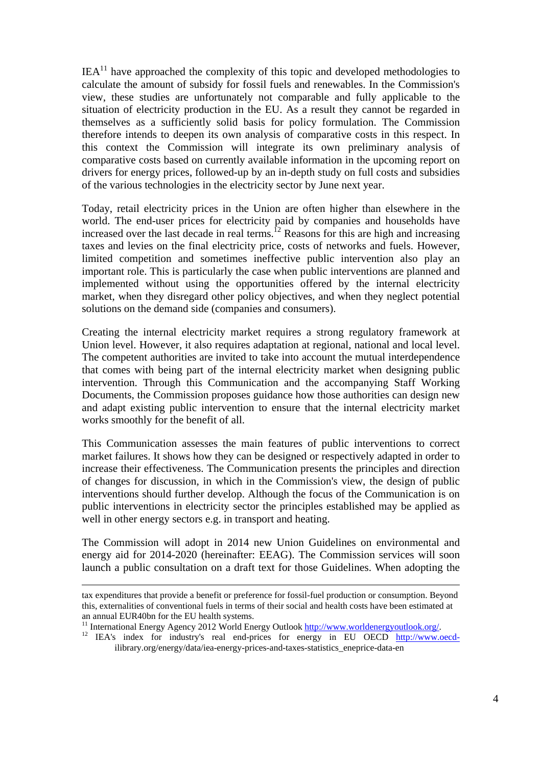$IEA<sup>11</sup>$  have approached the complexity of this topic and developed methodologies to calculate the amount of subsidy for fossil fuels and renewables. In the Commission's view, these studies are unfortunately not comparable and fully applicable to the situation of electricity production in the EU. As a result they cannot be regarded in themselves as a sufficiently solid basis for policy formulation. The Commission therefore intends to deepen its own analysis of comparative costs in this respect. In this context the Commission will integrate its own preliminary analysis of comparative costs based on currently available information in the upcoming report on drivers for energy prices, followed-up by an in-depth study on full costs and subsidies of the various technologies in the electricity sector by June next year.

Today, retail electricity prices in the Union are often higher than elsewhere in the world. The end-user prices for electricity paid by companies and households have increased over the last decade in real terms.<sup>12</sup> Reasons for this are high and increasing taxes and levies on the final electricity price, costs of networks and fuels. However, limited competition and sometimes ineffective public intervention also play an important role. This is particularly the case when public interventions are planned and implemented without using the opportunities offered by the internal electricity market, when they disregard other policy objectives, and when they neglect potential solutions on the demand side (companies and consumers).

Creating the internal electricity market requires a strong regulatory framework at Union level. However, it also requires adaptation at regional, national and local level. The competent authorities are invited to take into account the mutual interdependence that comes with being part of the internal electricity market when designing public intervention. Through this Communication and the accompanying Staff Working Documents, the Commission proposes guidance how those authorities can design new and adapt existing public intervention to ensure that the internal electricity market works smoothly for the benefit of all.

This Communication assesses the main features of public interventions to correct market failures. It shows how they can be designed or respectively adapted in order to increase their effectiveness. The Communication presents the principles and direction of changes for discussion, in which in the Commission's view, the design of public interventions should further develop. Although the focus of the Communication is on public interventions in electricity sector the principles established may be applied as well in other energy sectors e.g. in transport and heating.

The Commission will adopt in 2014 new Union Guidelines on environmental and energy aid for 2014-2020 (hereinafter: EEAG). The Commission services will soon launch a public consultation on a draft text for those Guidelines. When adopting the

ilibrary.org/energy/data/iea-energy-prices-and-taxes-statistics\_eneprice-data-en

tax expenditures that provide a benefit or preference for fossil-fuel production or consumption. Beyond this, externalities of conventional fuels in terms of their social and health costs have been estimated at <sup>11</sup> Int[ernational Energy Agency 2012 World Energy Outlook](http://www.worldenergyoutlook.org/) http://www.worldenergyoutlook.org/.<br><sup>12</sup> I[EA's index for industry's real end-prices for en](http://www.worldenergyoutlook.org/)ergy in EU OECD [http://www.oecd-](http://www.oecd-/)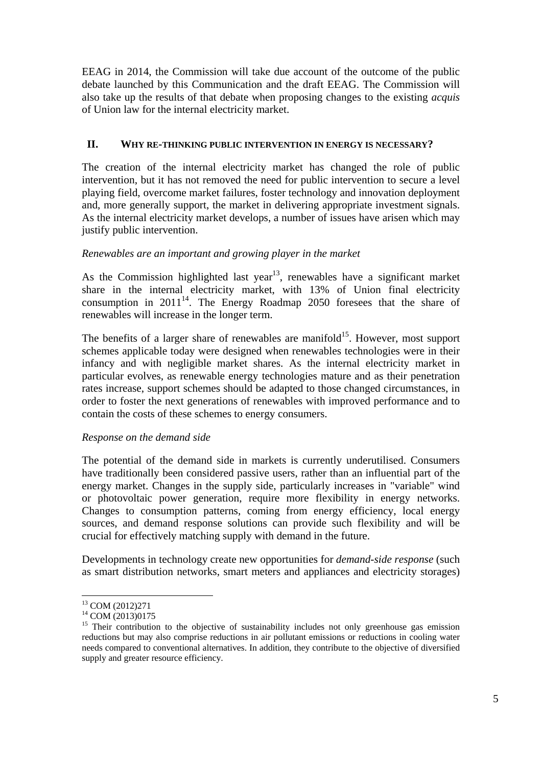EEAG in 2014, the Commission will take due account of the outcome of the public debate launched by this Communication and the draft EEAG. The Commission will also take up the results of that debate when proposing changes to the existing *acquis*  of Union law for the internal electricity market.

### **II. WHY RE-THINKING PUBLIC INTERVENTION IN ENERGY IS NECESSARY?**

The creation of the internal electricity market has changed the role of public intervention, but it has not removed the need for public intervention to secure a level playing field, overcome market failures, foster technology and innovation deployment and, more generally support, the market in delivering appropriate investment signals. As the internal electricity market develops, a number of issues have arisen which may justify public intervention.

## *Renewables are an important and growing player in the market*

As the Commission highlighted last year<sup>13</sup>, renewables have a significant market share in the internal electricity market, with 13% of Union final electricity consumption in  $2011^{14}$ . The Energy Roadmap 2050 foresees that the share of renewables will increase in the longer term.

The benefits of a larger share of renewables are manifold<sup>15</sup>. However, most support schemes applicable today were designed when renewables technologies were in their infancy and with negligible market shares. As the internal electricity market in particular evolves, as renewable energy technologies mature and as their penetration rates increase, support schemes should be adapted to those changed circumstances, in order to foster the next generations of renewables with improved performance and to contain the costs of these schemes to energy consumers.

#### *Response on the demand side*

The potential of the demand side in markets is currently underutilised. Consumers have traditionally been considered passive users, rather than an influential part of the energy market. Changes in the supply side, particularly increases in "variable" wind or photovoltaic power generation, require more flexibility in energy networks. Changes to consumption patterns, coming from energy efficiency, local energy sources, and demand response solutions can provide such flexibility and will be crucial for effectively matching supply with demand in the future.

Developments in technology create new opportunities for *demand-side response* (such as smart distribution networks, smart meters and appliances and electricity storages)

<sup>13</sup> COM (2012)271

<sup>&</sup>lt;sup>14</sup> COM (2013)0175

<sup>&</sup>lt;sup>15</sup> Their contribution to the objective of sustainability includes not only greenhouse gas emission reductions but may also comprise reductions in air pollutant emissions or reductions in cooling water needs compared to conventional alternatives. In addition, they contribute to the objective of diversified supply and greater resource efficiency.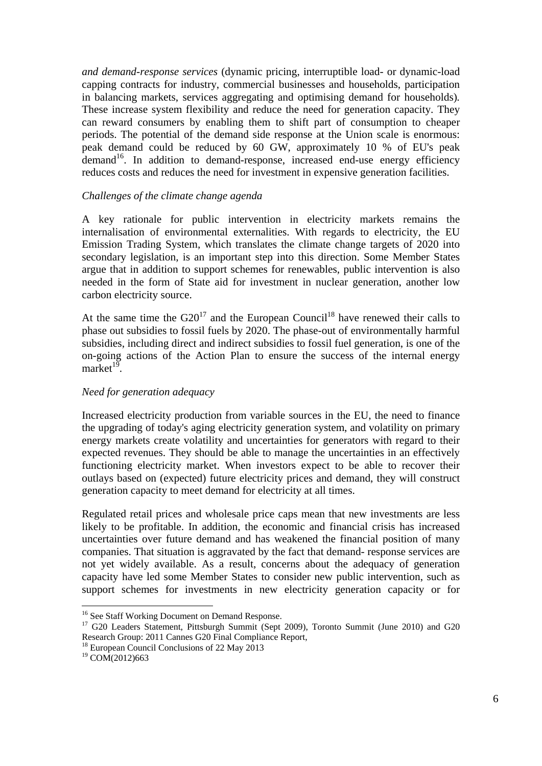*and demand-response services* (dynamic pricing, interruptible load- or dynamic-load capping contracts for industry, commercial businesses and households, participation in balancing markets, services aggregating and optimising demand for households)*.*  These increase system flexibility and reduce the need for generation capacity. They can reward consumers by enabling them to shift part of consumption to cheaper periods. The potential of the demand side response at the Union scale is enormous: peak demand could be reduced by 60 GW, approximately 10 % of EU's peak demand<sup>16</sup>. In addition to demand-response, increased end-use energy efficiency reduces costs and reduces the need for investment in expensive generation facilities.

#### *Challenges of the climate change agenda*

A key rationale for public intervention in electricity markets remains the internalisation of environmental externalities. With regards to electricity, the EU Emission Trading System, which translates the climate change targets of 2020 into secondary legislation, is an important step into this direction. Some Member States argue that in addition to support schemes for renewables, public intervention is also needed in the form of State aid for investment in nuclear generation, another low carbon electricity source.

At the same time the  $G20^{17}$  and the European Council<sup>18</sup> have renewed their calls to phase out subsidies to fossil fuels by 2020. The phase-out of environmentally harmful subsidies, including direct and indirect subsidies to fossil fuel generation, is one of the on-going actions of the Action Plan to ensure the success of the internal energy market $1<sup>9</sup>$ .

## *Need for generation adequacy*

Increased electricity production from variable sources in the EU, the need to finance the upgrading of today's aging electricity generation system, and volatility on primary energy markets create volatility and uncertainties for generators with regard to their expected revenues. They should be able to manage the uncertainties in an effectively functioning electricity market. When investors expect to be able to recover their outlays based on (expected) future electricity prices and demand, they will construct generation capacity to meet demand for electricity at all times.

Regulated retail prices and wholesale price caps mean that new investments are less likely to be profitable. In addition, the economic and financial crisis has increased uncertainties over future demand and has weakened the financial position of many companies. That situation is aggravated by the fact that demand- response services are not yet widely available. As a result, concerns about the adequacy of generation capacity have led some Member States to consider new public intervention, such as support schemes for investments in new electricity generation capacity or for

<sup>&</sup>lt;sup>16</sup> See Staff Working Document on Demand Response.

<sup>&</sup>lt;sup>17</sup> G20 Leaders Statement, Pittsburgh Summit (Sept 2009), Toronto Summit (June 2010) and G20 Research Group: 2011 Cannes G20 Final Compliance Report,

<sup>&</sup>lt;sup>18</sup> European Council Conclusions of 22 May 2013

<sup>&</sup>lt;sup>19</sup> COM(2012)663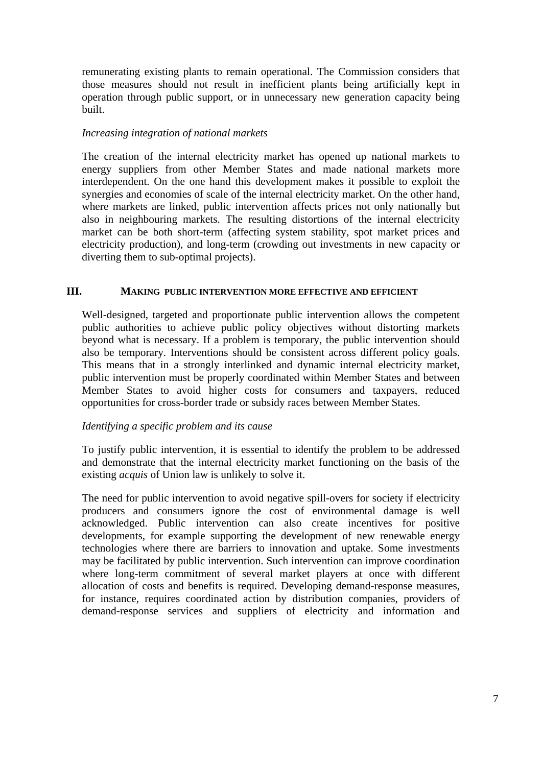remunerating existing plants to remain operational. The Commission considers that those measures should not result in inefficient plants being artificially kept in operation through public support, or in unnecessary new generation capacity being built.

### *Increasing integration of national markets*

The creation of the internal electricity market has opened up national markets to energy suppliers from other Member States and made national markets more interdependent. On the one hand this development makes it possible to exploit the synergies and economies of scale of the internal electricity market. On the other hand, where markets are linked, public intervention affects prices not only nationally but also in neighbouring markets. The resulting distortions of the internal electricity market can be both short-term (affecting system stability, spot market prices and electricity production), and long-term (crowding out investments in new capacity or diverting them to sub-optimal projects).

#### **III. MAKING PUBLIC INTERVENTION MORE EFFECTIVE AND EFFICIENT**

Well-designed, targeted and proportionate public intervention allows the competent public authorities to achieve public policy objectives without distorting markets beyond what is necessary. If a problem is temporary, the public intervention should also be temporary. Interventions should be consistent across different policy goals. This means that in a strongly interlinked and dynamic internal electricity market, public intervention must be properly coordinated within Member States and between Member States to avoid higher costs for consumers and taxpayers, reduced opportunities for cross-border trade or subsidy races between Member States.

#### *Identifying a specific problem and its cause*

To justify public intervention, it is essential to identify the problem to be addressed and demonstrate that the internal electricity market functioning on the basis of the existing *acquis* of Union law is unlikely to solve it.

The need for public intervention to avoid negative spill-overs for society if electricity producers and consumers ignore the cost of environmental damage is well acknowledged. Public intervention can also create incentives for positive developments, for example supporting the development of new renewable energy technologies where there are barriers to innovation and uptake. Some investments may be facilitated by public intervention. Such intervention can improve coordination where long-term commitment of several market players at once with different allocation of costs and benefits is required. Developing demand-response measures, for instance, requires coordinated action by distribution companies, providers of demand-response services and suppliers of electricity and information and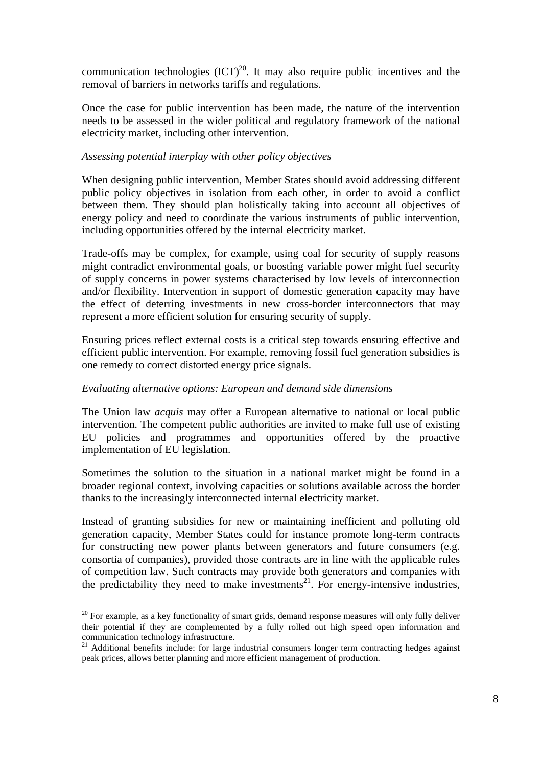communication technologies  $(ICT)^{20}$ . It may also require public incentives and the removal of barriers in networks tariffs and regulations.

Once the case for public intervention has been made, the nature of the intervention needs to be assessed in the wider political and regulatory framework of the national electricity market, including other intervention.

### *Assessing potential interplay with other policy objectives*

When designing public intervention, Member States should avoid addressing different public policy objectives in isolation from each other, in order to avoid a conflict between them. They should plan holistically taking into account all objectives of energy policy and need to coordinate the various instruments of public intervention, including opportunities offered by the internal electricity market.

Trade-offs may be complex, for example, using coal for security of supply reasons might contradict environmental goals, or boosting variable power might fuel security of supply concerns in power systems characterised by low levels of interconnection and/or flexibility. Intervention in support of domestic generation capacity may have the effect of deterring investments in new cross-border interconnectors that may represent a more efficient solution for ensuring security of supply.

Ensuring prices reflect external costs is a critical step towards ensuring effective and efficient public intervention. For example, removing fossil fuel generation subsidies is one remedy to correct distorted energy price signals.

#### *Evaluating alternative options: European and demand side dimensions*

The Union law *acquis* may offer a European alternative to national or local public intervention. The competent public authorities are invited to make full use of existing EU policies and programmes and opportunities offered by the proactive implementation of EU legislation.

Sometimes the solution to the situation in a national market might be found in a broader regional context, involving capacities or solutions available across the border thanks to the increasingly interconnected internal electricity market.

Instead of granting subsidies for new or maintaining inefficient and polluting old generation capacity, Member States could for instance promote long-term contracts for constructing new power plants between generators and future consumers (e.g. consortia of companies), provided those contracts are in line with the applicable rules of competition law. Such contracts may provide both generators and companies with the predictability they need to make investments<sup>21</sup>. For energy-intensive industries,

 $20$  For example, as a key functionality of smart grids, demand response measures will only fully deliver their potential if they are complemented by a fully rolled out high speed open information and communication technology infrastructure.

 $21$  Additional benefits include: for large industrial consumers longer term contracting hedges against peak prices, allows better planning and more efficient management of production.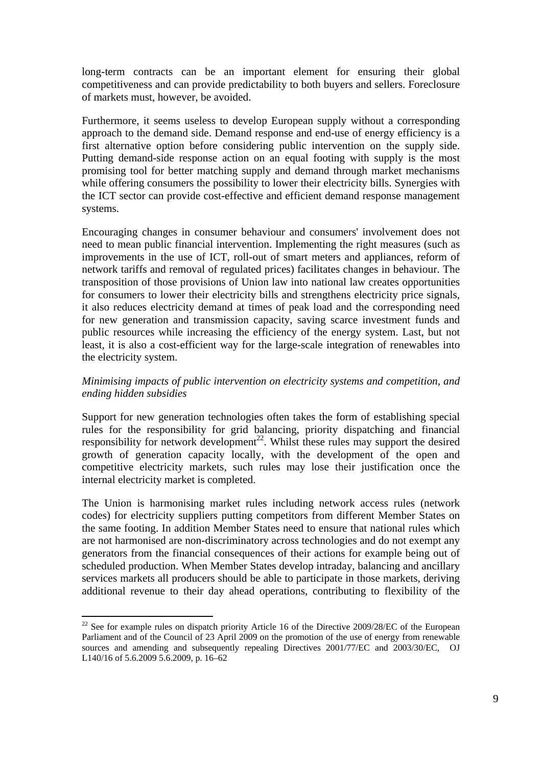long-term contracts can be an important element for ensuring their global competitiveness and can provide predictability to both buyers and sellers. Foreclosure of markets must, however, be avoided.

Furthermore, it seems useless to develop European supply without a corresponding approach to the demand side. Demand response and end-use of energy efficiency is a first alternative option before considering public intervention on the supply side. Putting demand-side response action on an equal footing with supply is the most promising tool for better matching supply and demand through market mechanisms while offering consumers the possibility to lower their electricity bills. Synergies with the ICT sector can provide cost-effective and efficient demand response management systems.

Encouraging changes in consumer behaviour and consumers' involvement does not need to mean public financial intervention. Implementing the right measures (such as improvements in the use of ICT, roll-out of smart meters and appliances, reform of network tariffs and removal of regulated prices) facilitates changes in behaviour. The transposition of those provisions of Union law into national law creates opportunities for consumers to lower their electricity bills and strengthens electricity price signals, it also reduces electricity demand at times of peak load and the corresponding need for new generation and transmission capacity, saving scarce investment funds and public resources while increasing the efficiency of the energy system. Last, but not least, it is also a cost-efficient way for the large-scale integration of renewables into the electricity system.

### *Minimising impacts of public intervention on electricity systems and competition, and ending hidden subsidies*

Support for new generation technologies often takes the form of establishing special rules for the responsibility for grid balancing, priority dispatching and financial responsibility for network development<sup>22</sup>. Whilst these rules may support the desired growth of generation capacity locally, with the development of the open and competitive electricity markets, such rules may lose their justification once the internal electricity market is completed.

The Union is harmonising market rules including network access rules (network codes) for electricity suppliers putting competitors from different Member States on the same footing. In addition Member States need to ensure that national rules which are not harmonised are non-discriminatory across technologies and do not exempt any generators from the financial consequences of their actions for example being out of scheduled production. When Member States develop intraday, balancing and ancillary services markets all producers should be able to participate in those markets, deriving additional revenue to their day ahead operations, contributing to flexibility of the

<u>.</u>

 $^{22}$  See for example rules on dispatch priority Article 16 of the Directive 2009/28/EC of the European Parliament and of the Council of 23 April 2009 on the promotion of the use of energy from renewable sources and amending and subsequently repealing Directives 2001/77/EC and 2003/30/EC, OJ L140/16 of 5.6.2009 5.6.2009, p. 16–62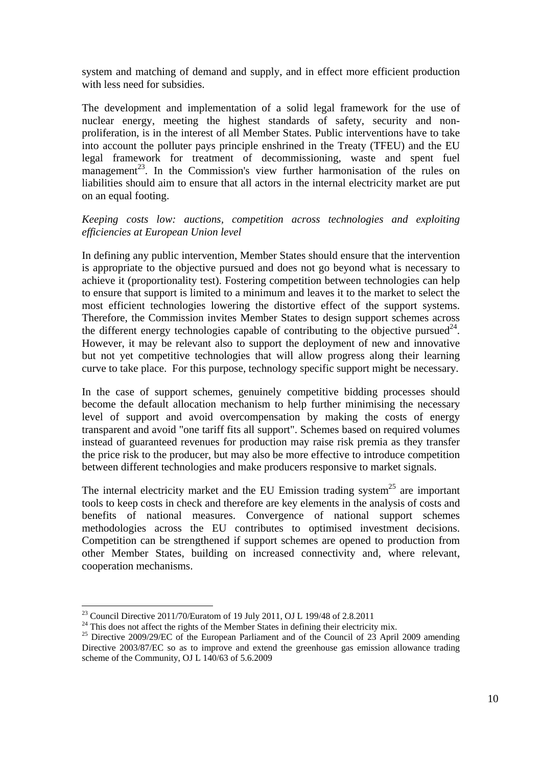system and matching of demand and supply, and in effect more efficient production with less need for subsidies.

The development and implementation of a solid legal framework for the use of nuclear energy, meeting the highest standards of safety, security and nonproliferation, is in the interest of all Member States. Public interventions have to take into account the polluter pays principle enshrined in the Treaty (TFEU) and the EU legal framework for treatment of decommissioning, waste and spent fuel management<sup>23</sup>. In the Commission's view further harmonisation of the rules on liabilities should aim to ensure that all actors in the internal electricity market are put on an equal footing.

#### *Keeping costs low: auctions, competition across technologies and exploiting efficiencies at European Union level*

In defining any public intervention, Member States should ensure that the intervention is appropriate to the objective pursued and does not go beyond what is necessary to achieve it (proportionality test). Fostering competition between technologies can help to ensure that support is limited to a minimum and leaves it to the market to select the most efficient technologies lowering the distortive effect of the support systems. Therefore, the Commission invites Member States to design support schemes across the different energy technologies capable of contributing to the objective pursued<sup>24</sup>. However, it may be relevant also to support the deployment of new and innovative but not yet competitive technologies that will allow progress along their learning curve to take place. For this purpose, technology specific support might be necessary.

In the case of support schemes, genuinely competitive bidding processes should become the default allocation mechanism to help further minimising the necessary level of support and avoid overcompensation by making the costs of energy transparent and avoid "one tariff fits all support". Schemes based on required volumes instead of guaranteed revenues for production may raise risk premia as they transfer the price risk to the producer, but may also be more effective to introduce competition between different technologies and make producers responsive to market signals.

The internal electricity market and the EU Emission trading system<sup>25</sup> are important tools to keep costs in check and therefore are key elements in the analysis of costs and benefits of national measures. Convergence of national support schemes methodologies across the EU contributes to optimised investment decisions. Competition can be strengthened if support schemes are opened to production from other Member States, building on increased connectivity and, where relevant, cooperation mechanisms.

<sup>&</sup>lt;sup>23</sup> Council Directive 2011/70/Euratom of 19 July 2011, OJ L 199/48 of 2.8.2011

<sup>&</sup>lt;sup>24</sup> This does not affect the rights of the Member States in defining their electricity mix.<br><sup>25</sup> Directive 2009/29/EC of the European Parliament and of the Council of 23 April 2009 amending

Directive 2003/87/EC so as to improve and extend the greenhouse gas emission allowance trading scheme of the Community, OJ L 140/63 of 5.6.2009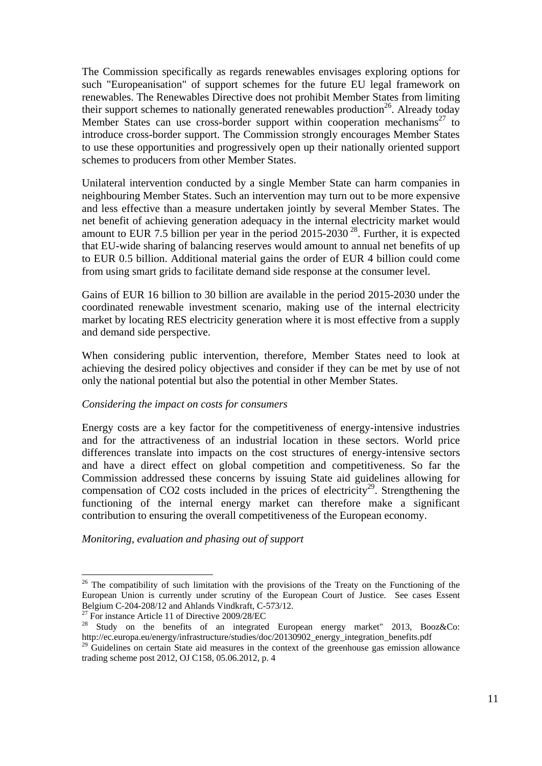The Commission specifically as regards renewables envisages exploring options for such "Europeanisation" of support schemes for the future EU legal framework on renewables. The Renewables Directive does not prohibit Member States from limiting their support schemes to nationally generated renewables production<sup>26</sup>. Already today Member States can use cross-border support within cooperation mechanisms<sup>27</sup> to introduce cross-border support. The Commission strongly encourages Member States to use these opportunities and progressively open up their nationally oriented support schemes to producers from other Member States.

Unilateral intervention conducted by a single Member State can harm companies in neighbouring Member States. Such an intervention may turn out to be more expensive and less effective than a measure undertaken jointly by several Member States. The net benefit of achieving generation adequacy in the internal electricity market would amount to EUR 7.5 billion per year in the period 2015-2030<sup>28</sup>. Further, it is expected that EU-wide sharing of balancing reserves would amount to annual net benefits of up to EUR 0.5 billion. Additional material gains the order of EUR 4 billion could come from using smart grids to facilitate demand side response at the consumer level.

Gains of EUR 16 billion to 30 billion are available in the period 2015-2030 under the coordinated renewable investment scenario, making use of the internal electricity market by locating RES electricity generation where it is most effective from a supply and demand side perspective.

When considering public intervention, therefore, Member States need to look at achieving the desired policy objectives and consider if they can be met by use of not only the national potential but also the potential in other Member States.

#### *Considering the impact on costs for consumers*

Energy costs are a key factor for the competitiveness of energy-intensive industries and for the attractiveness of an industrial location in these sectors. World price differences translate into impacts on the cost structures of energy-intensive sectors and have a direct effect on global competition and competitiveness. So far the Commission addressed these concerns by issuing State aid guidelines allowing for compensation of CO2 costs included in the prices of electricity<sup>29</sup>. Strengthening the functioning of the internal energy market can therefore make a significant contribution to ensuring the overall competitiveness of the European economy.

*Monitoring, evaluation and phasing out of support* 

<sup>&</sup>lt;sup>26</sup> The compatibility of such limitation with the provisions of the Treaty on the Functioning of the European Union is currently under scrutiny of the European Court of Justice. See cases Essent Belgium C-204-208/12 and Ahlands Vindkraft, C-573/12.<br><sup>27</sup> For instance Article 11 of Directive 2009/28/EC

<sup>&</sup>lt;sup>28</sup> Study on the benefits of an integrated European energy market" 2013, Booz&Co: http://ec.europa.eu/energy/infrastructure/studies/doc/20130902\_energy\_integration\_benefits.pdf

<sup>&</sup>lt;sup>29</sup> Guidelines on certain State aid measures in the context of the greenhouse gas emission allowance trading scheme post 2012, OJ C158, 05.06.2012, p. 4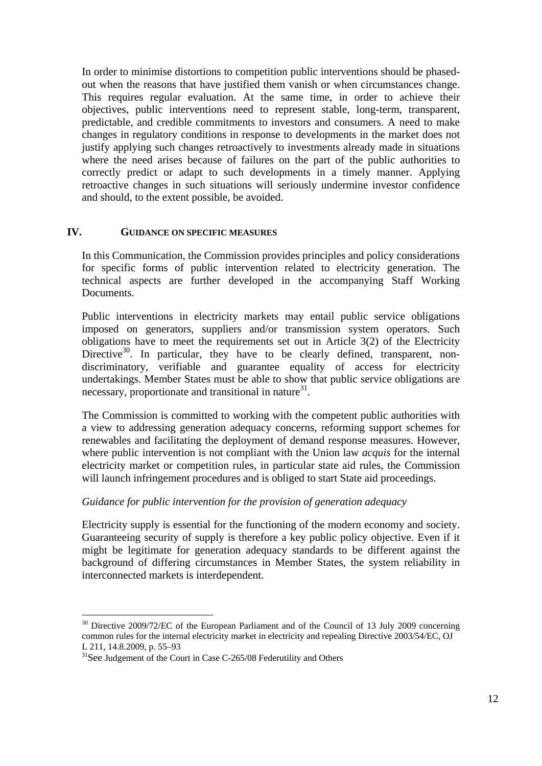In order to minimise distortions to competition public interventions should be phasedout when the reasons that have justified them vanish or when circumstances change. This requires regular evaluation. At the same time, in order to achieve their objectives, public interventions need to represent stable, long-term, transparent, predictable, and credible commitments to investors and consumers. A need to make changes in regulatory conditions in response to developments in the market does not justify applying such changes retroactively to investments already made in situations where the need arises because of failures on the part of the public authorities to correctly predict or adapt to such developments in a timely manner. Applying retroactive changes in such situations will seriously undermine investor confidence and should, to the extent possible, be avoided.

#### **IV. GUIDANCE ON SPECIFIC MEASURES**

In this Communication, the Commission provides principles and policy considerations for specific forms of public intervention related to electricity generation. The technical aspects are further developed in the accompanying Staff Working Documents.

Public interventions in electricity markets may entail public service obligations imposed on generators, suppliers and/or transmission system operators. Such obligations have to meet the requirements set out in Article 3(2) of the Electricity Directive<sup>30</sup>. In particular, they have to be clearly defined, transparent, nondiscriminatory, verifiable and guarantee equality of access for electricity undertakings. Member States must be able to show that public service obligations are necessary, proportionate and transitional in nature $31$ .

The Commission is committed to working with the competent public authorities with a view to addressing generation adequacy concerns, reforming support schemes for renewables and facilitating the deployment of demand response measures. However, where public intervention is not compliant with the Union law *acquis* for the internal electricity market or competition rules, in particular state aid rules, the Commission will launch infringement procedures and is obliged to start State aid proceedings.

#### *Guidance for public intervention for the provision of generation adequacy*

Electricity supply is essential for the functioning of the modern economy and society. Guaranteeing security of supply is therefore a key public policy objective. Even if it might be legitimate for generation adequacy standards to be different against the background of differing circumstances in Member States, the system reliability in interconnected markets is interdependent.

 $30$  Directive 2009/72/EC of the European Parliament and of the Council of 13 July 2009 concerning common rules for the internal electricity market in electricity and repealing Directive 2003/54/EC, OJ L 211, 14.8.2009, p. 55–93

 $31$ See Judgement of the Court in Case C-265/08 Federutility and Others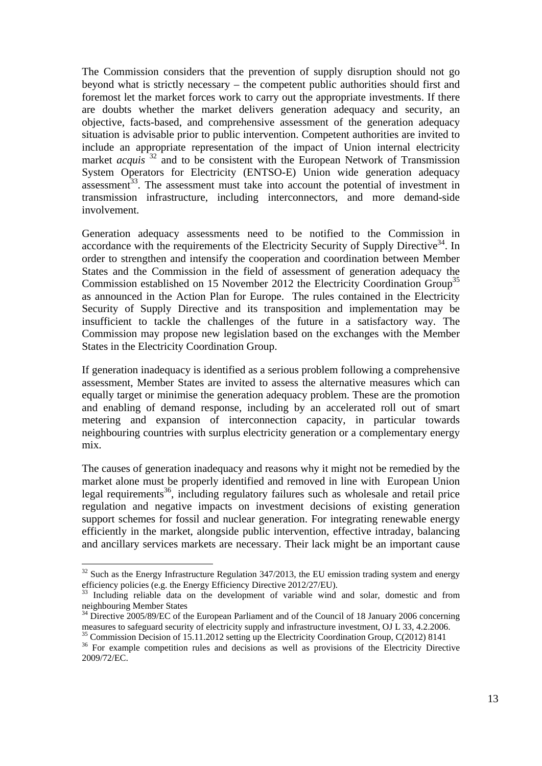The Commission considers that the prevention of supply disruption should not go beyond what is strictly necessary – the competent public authorities should first and foremost let the market forces work to carry out the appropriate investments. If there are doubts whether the market delivers generation adequacy and security, an objective, facts-based, and comprehensive assessment of the generation adequacy situation is advisable prior to public intervention. Competent authorities are invited to include an appropriate representation of the impact of Union internal electricity market *acquis*<sup>32</sup> and to be consistent with the European Network of Transmission System Operators for Electricity (ENTSO-E) Union wide generation adequacy assessment<sup>33</sup>. The assessment must take into account the potential of investment in transmission infrastructure, including interconnectors, and more demand-side involvement.

Generation adequacy assessments need to be notified to the Commission in accordance with the requirements of the Electricity Security of Supply Directive<sup>34</sup>. In order to strengthen and intensify the cooperation and coordination between Member States and the Commission in the field of assessment of generation adequacy the Commission established on 15 November 2012 the Electricity Coordination Group<sup>35</sup> as announced in the Action Plan for Europe. The rules contained in the Electricity Security of Supply Directive and its transposition and implementation may be insufficient to tackle the challenges of the future in a satisfactory way. The Commission may propose new legislation based on the exchanges with the Member States in the Electricity Coordination Group.

If generation inadequacy is identified as a serious problem following a comprehensive assessment, Member States are invited to assess the alternative measures which can equally target or minimise the generation adequacy problem. These are the promotion and enabling of demand response, including by an accelerated roll out of smart metering and expansion of interconnection capacity, in particular towards neighbouring countries with surplus electricity generation or a complementary energy mix.

The causes of generation inadequacy and reasons why it might not be remedied by the market alone must be properly identified and removed in line with European Union legal requirements<sup>36</sup>, including regulatory failures such as wholesale and retail price regulation and negative impacts on investment decisions of existing generation support schemes for fossil and nuclear generation. For integrating renewable energy efficiently in the market, alongside public intervention, effective intraday, balancing and ancillary services markets are necessary. Their lack might be an important cause

 $32$  Such as the Energy Infrastructure Regulation 347/2013, the EU emission trading system and energy efficiency policies (e.g. the Energy Efficiency Directive 2012/27/EU).<br><sup>33</sup> Including reliable data on the development of variable wind and solar, domestic and from

neighbouring Member States

<sup>&</sup>lt;sup>34</sup> Directive 2005/89/EC of the European Parliament and of the Council of 18 January 2006 concerning measures to safeguard security of electricity supply and infrastructure investment, OJ L 33, 4.2.2006. 35 Commission Decision of 15.11.2012 setting up the Electricity Coordination Group, C(2012) 8141

<sup>&</sup>lt;sup>36</sup> For example competition rules and decisions as well as provisions of the Electricity Directive 2009/72/EC.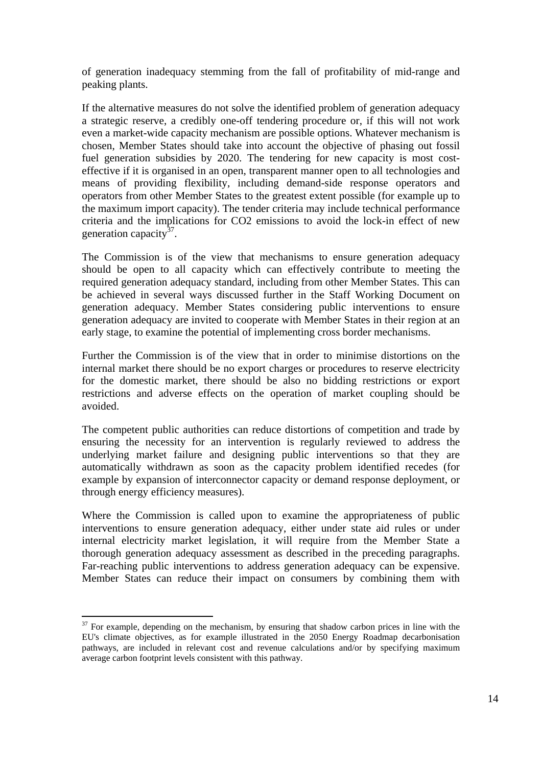of generation inadequacy stemming from the fall of profitability of mid-range and peaking plants.

If the alternative measures do not solve the identified problem of generation adequacy a strategic reserve, a credibly one-off tendering procedure or, if this will not work even a market-wide capacity mechanism are possible options. Whatever mechanism is chosen, Member States should take into account the objective of phasing out fossil fuel generation subsidies by 2020. The tendering for new capacity is most costeffective if it is organised in an open, transparent manner open to all technologies and means of providing flexibility, including demand-side response operators and operators from other Member States to the greatest extent possible (for example up to the maximum import capacity). The tender criteria may include technical performance criteria and the implications for CO2 emissions to avoid the lock-in effect of new generation capacity $37$ .

The Commission is of the view that mechanisms to ensure generation adequacy should be open to all capacity which can effectively contribute to meeting the required generation adequacy standard, including from other Member States. This can be achieved in several ways discussed further in the Staff Working Document on generation adequacy. Member States considering public interventions to ensure generation adequacy are invited to cooperate with Member States in their region at an early stage, to examine the potential of implementing cross border mechanisms.

Further the Commission is of the view that in order to minimise distortions on the internal market there should be no export charges or procedures to reserve electricity for the domestic market, there should be also no bidding restrictions or export restrictions and adverse effects on the operation of market coupling should be avoided.

The competent public authorities can reduce distortions of competition and trade by ensuring the necessity for an intervention is regularly reviewed to address the underlying market failure and designing public interventions so that they are automatically withdrawn as soon as the capacity problem identified recedes (for example by expansion of interconnector capacity or demand response deployment, or through energy efficiency measures).

Where the Commission is called upon to examine the appropriateness of public interventions to ensure generation adequacy, either under state aid rules or under internal electricity market legislation, it will require from the Member State a thorough generation adequacy assessment as described in the preceding paragraphs. Far-reaching public interventions to address generation adequacy can be expensive. Member States can reduce their impact on consumers by combining them with

<sup>&</sup>lt;u>.</u>  $37$  For example, depending on the mechanism, by ensuring that shadow carbon prices in line with the EU's climate objectives, as for example illustrated in the 2050 Energy Roadmap decarbonisation pathways, are included in relevant cost and revenue calculations and/or by specifying maximum average carbon footprint levels consistent with this pathway.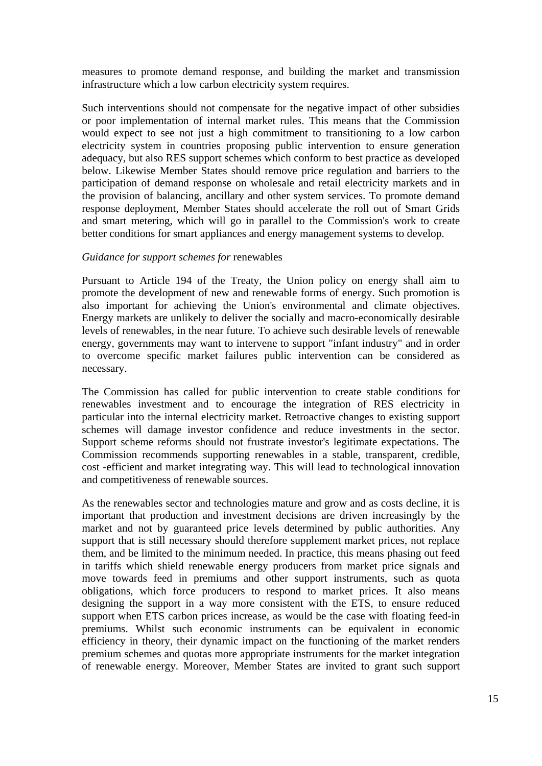measures to promote demand response, and building the market and transmission infrastructure which a low carbon electricity system requires.

Such interventions should not compensate for the negative impact of other subsidies or poor implementation of internal market rules. This means that the Commission would expect to see not just a high commitment to transitioning to a low carbon electricity system in countries proposing public intervention to ensure generation adequacy, but also RES support schemes which conform to best practice as developed below. Likewise Member States should remove price regulation and barriers to the participation of demand response on wholesale and retail electricity markets and in the provision of balancing, ancillary and other system services. To promote demand response deployment, Member States should accelerate the roll out of Smart Grids and smart metering, which will go in parallel to the Commission's work to create better conditions for smart appliances and energy management systems to develop.

#### *Guidance for support schemes for* renewables

Pursuant to Article 194 of the Treaty, the Union policy on energy shall aim to promote the development of new and renewable forms of energy. Such promotion is also important for achieving the Union's environmental and climate objectives. Energy markets are unlikely to deliver the socially and macro-economically desirable levels of renewables, in the near future. To achieve such desirable levels of renewable energy, governments may want to intervene to support "infant industry" and in order to overcome specific market failures public intervention can be considered as necessary.

The Commission has called for public intervention to create stable conditions for renewables investment and to encourage the integration of RES electricity in particular into the internal electricity market. Retroactive changes to existing support schemes will damage investor confidence and reduce investments in the sector. Support scheme reforms should not frustrate investor's legitimate expectations. The Commission recommends supporting renewables in a stable, transparent, credible, cost -efficient and market integrating way. This will lead to technological innovation and competitiveness of renewable sources.

As the renewables sector and technologies mature and grow and as costs decline, it is important that production and investment decisions are driven increasingly by the market and not by guaranteed price levels determined by public authorities. Any support that is still necessary should therefore supplement market prices, not replace them, and be limited to the minimum needed. In practice, this means phasing out feed in tariffs which shield renewable energy producers from market price signals and move towards feed in premiums and other support instruments, such as quota obligations, which force producers to respond to market prices. It also means designing the support in a way more consistent with the ETS, to ensure reduced support when ETS carbon prices increase, as would be the case with floating feed-in premiums. Whilst such economic instruments can be equivalent in economic efficiency in theory, their dynamic impact on the functioning of the market renders premium schemes and quotas more appropriate instruments for the market integration of renewable energy. Moreover, Member States are invited to grant such support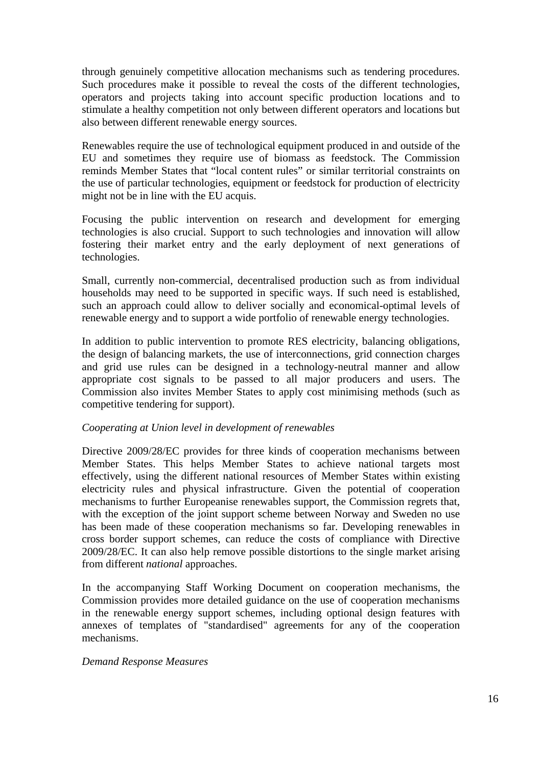through genuinely competitive allocation mechanisms such as tendering procedures. Such procedures make it possible to reveal the costs of the different technologies, operators and projects taking into account specific production locations and to stimulate a healthy competition not only between different operators and locations but also between different renewable energy sources.

Renewables require the use of technological equipment produced in and outside of the EU and sometimes they require use of biomass as feedstock. The Commission reminds Member States that "local content rules" or similar territorial constraints on the use of particular technologies, equipment or feedstock for production of electricity might not be in line with the EU acquis.

Focusing the public intervention on research and development for emerging technologies is also crucial. Support to such technologies and innovation will allow fostering their market entry and the early deployment of next generations of technologies.

Small, currently non-commercial, decentralised production such as from individual households may need to be supported in specific ways. If such need is established, such an approach could allow to deliver socially and economical-optimal levels of renewable energy and to support a wide portfolio of renewable energy technologies.

In addition to public intervention to promote RES electricity, balancing obligations, the design of balancing markets, the use of interconnections, grid connection charges and grid use rules can be designed in a technology-neutral manner and allow appropriate cost signals to be passed to all major producers and users. The Commission also invites Member States to apply cost minimising methods (such as competitive tendering for support).

#### *Cooperating at Union level in development of renewables*

Directive 2009/28/EC provides for three kinds of cooperation mechanisms between Member States. This helps Member States to achieve national targets most effectively, using the different national resources of Member States within existing electricity rules and physical infrastructure. Given the potential of cooperation mechanisms to further Europeanise renewables support, the Commission regrets that, with the exception of the joint support scheme between Norway and Sweden no use has been made of these cooperation mechanisms so far. Developing renewables in cross border support schemes, can reduce the costs of compliance with Directive 2009/28/EC. It can also help remove possible distortions to the single market arising from different *national* approaches.

In the accompanying Staff Working Document on cooperation mechanisms, the Commission provides more detailed guidance on the use of cooperation mechanisms in the renewable energy support schemes, including optional design features with annexes of templates of "standardised" agreements for any of the cooperation mechanisms.

#### *Demand Response Measures*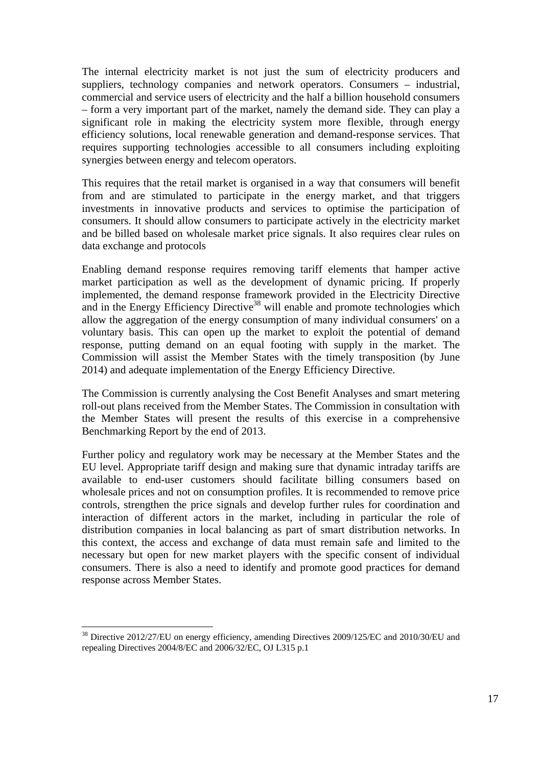The internal electricity market is not just the sum of electricity producers and suppliers, technology companies and network operators. Consumers – industrial, commercial and service users of electricity and the half a billion household consumers – form a very important part of the market, namely the demand side. They can play a significant role in making the electricity system more flexible, through energy efficiency solutions, local renewable generation and demand-response services. That requires supporting technologies accessible to all consumers including exploiting synergies between energy and telecom operators.

This requires that the retail market is organised in a way that consumers will benefit from and are stimulated to participate in the energy market, and that triggers investments in innovative products and services to optimise the participation of consumers. It should allow consumers to participate actively in the electricity market and be billed based on wholesale market price signals. It also requires clear rules on data exchange and protocols

Enabling demand response requires removing tariff elements that hamper active market participation as well as the development of dynamic pricing. If properly implemented, the demand response framework provided in the Electricity Directive and in the Energy Efficiency Directive<sup>38</sup> will enable and promote technologies which allow the aggregation of the energy consumption of many individual consumers' on a voluntary basis. This can open up the market to exploit the potential of demand response, putting demand on an equal footing with supply in the market. The Commission will assist the Member States with the timely transposition (by June 2014) and adequate implementation of the Energy Efficiency Directive.

The Commission is currently analysing the Cost Benefit Analyses and smart metering roll-out plans received from the Member States. The Commission in consultation with the Member States will present the results of this exercise in a comprehensive Benchmarking Report by the end of 2013.

Further policy and regulatory work may be necessary at the Member States and the EU level. Appropriate tariff design and making sure that dynamic intraday tariffs are available to end-user customers should facilitate billing consumers based on wholesale prices and not on consumption profiles. It is recommended to remove price controls, strengthen the price signals and develop further rules for coordination and interaction of different actors in the market, including in particular the role of distribution companies in local balancing as part of smart distribution networks. In this context, the access and exchange of data must remain safe and limited to the necessary but open for new market players with the specific consent of individual consumers. There is also a need to identify and promote good practices for demand response across Member States.

<sup>&</sup>lt;sup>38</sup> Directive 2012/27/EU on energy efficiency, amending Directives 2009/125/EC and 2010/30/EU and repealing Directives 2004/8/EC and 2006/32/EC, OJ L315 p.1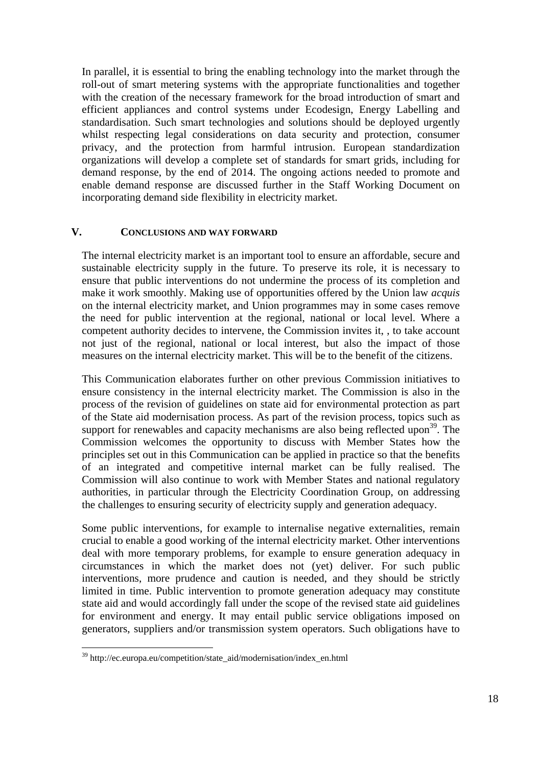In parallel, it is essential to bring the enabling technology into the market through the roll-out of smart metering systems with the appropriate functionalities and together with the creation of the necessary framework for the broad introduction of smart and efficient appliances and control systems under Ecodesign, Energy Labelling and standardisation. Such smart technologies and solutions should be deployed urgently whilst respecting legal considerations on data security and protection, consumer privacy, and the protection from harmful intrusion. European standardization organizations will develop a complete set of standards for smart grids, including for demand response, by the end of 2014. The ongoing actions needed to promote and enable demand response are discussed further in the Staff Working Document on incorporating demand side flexibility in electricity market.

#### **V. CONCLUSIONS AND WAY FORWARD**

The internal electricity market is an important tool to ensure an affordable, secure and sustainable electricity supply in the future. To preserve its role, it is necessary to ensure that public interventions do not undermine the process of its completion and make it work smoothly. Making use of opportunities offered by the Union law *acquis*  on the internal electricity market, and Union programmes may in some cases remove the need for public intervention at the regional, national or local level. Where a competent authority decides to intervene, the Commission invites it, , to take account not just of the regional, national or local interest, but also the impact of those measures on the internal electricity market. This will be to the benefit of the citizens.

This Communication elaborates further on other previous Commission initiatives to ensure consistency in the internal electricity market. The Commission is also in the process of the revision of guidelines on state aid for environmental protection as part of the State aid modernisation process. As part of the revision process, topics such as support for renewables and capacity mechanisms are also being reflected upon<sup>39</sup>. The Commission welcomes the opportunity to discuss with Member States how the principles set out in this Communication can be applied in practice so that the benefits of an integrated and competitive internal market can be fully realised. The Commission will also continue to work with Member States and national regulatory authorities, in particular through the Electricity Coordination Group, on addressing the challenges to ensuring security of electricity supply and generation adequacy.

Some public interventions, for example to internalise negative externalities, remain crucial to enable a good working of the internal electricity market. Other interventions deal with more temporary problems, for example to ensure generation adequacy in circumstances in which the market does not (yet) deliver. For such public interventions, more prudence and caution is needed, and they should be strictly limited in time. Public intervention to promote generation adequacy may constitute state aid and would accordingly fall under the scope of the revised state aid guidelines for environment and energy. It may entail public service obligations imposed on generators, suppliers and/or transmission system operators. Such obligations have to

<u>.</u>

<sup>39</sup> http://ec.europa.eu/competition/state\_aid/modernisation/index\_en.html